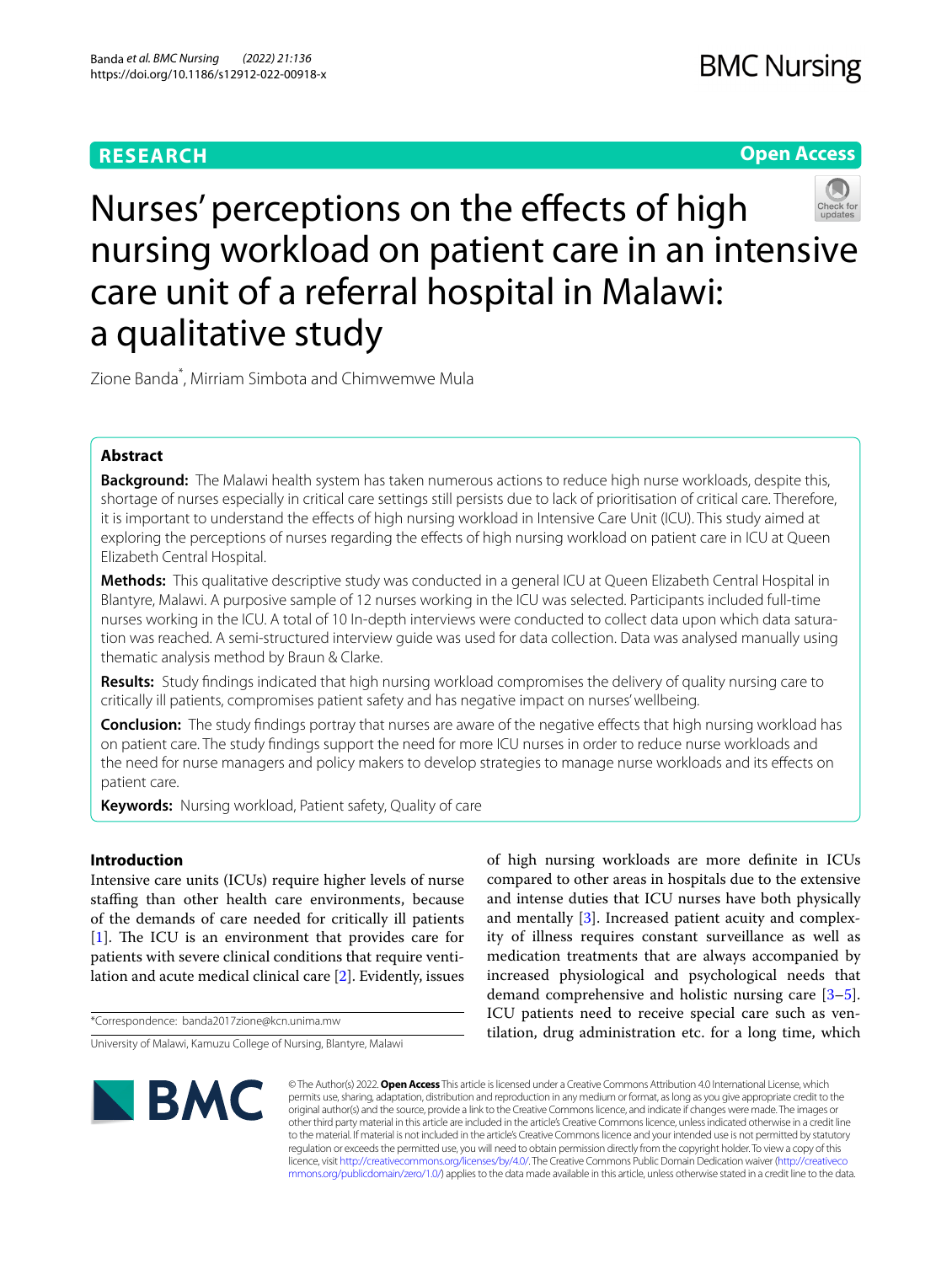# **RESEARCH**

# **Open Access**



# Nurses' perceptions on the effects of high nursing workload on patient care in an intensive care unit of a referral hospital in Malawi: a qualitative study

Zione Banda\* , Mirriam Simbota and Chimwemwe Mula

# **Abstract**

**Background:** The Malawi health system has taken numerous actions to reduce high nurse workloads, despite this, shortage of nurses especially in critical care settings still persists due to lack of prioritisation of critical care. Therefore, it is important to understand the efects of high nursing workload in Intensive Care Unit (ICU). This study aimed at exploring the perceptions of nurses regarding the efects of high nursing workload on patient care in ICU at Queen Elizabeth Central Hospital.

**Methods:** This qualitative descriptive study was conducted in a general ICU at Queen Elizabeth Central Hospital in Blantyre, Malawi. A purposive sample of 12 nurses working in the ICU was selected. Participants included full-time nurses working in the ICU. A total of 10 In-depth interviews were conducted to collect data upon which data saturation was reached. A semi-structured interview guide was used for data collection. Data was analysed manually using thematic analysis method by Braun & Clarke.

**Results:** Study fndings indicated that high nursing workload compromises the delivery of quality nursing care to critically ill patients, compromises patient safety and has negative impact on nurses' wellbeing.

**Conclusion:** The study fndings portray that nurses are aware of the negative efects that high nursing workload has on patient care. The study fndings support the need for more ICU nurses in order to reduce nurse workloads and the need for nurse managers and policy makers to develop strategies to manage nurse workloads and its efects on patient care.

**Keywords:** Nursing workload, Patient safety, Quality of care

# **Introduction**

Intensive care units (ICUs) require higher levels of nurse stafng than other health care environments, because of the demands of care needed for critically ill patients  $[1]$  $[1]$ . The ICU is an environment that provides care for patients with severe clinical conditions that require ventilation and acute medical clinical care [\[2](#page-5-1)]. Evidently, issues

\*Correspondence: banda2017zione@kcn.unima.mw

of high nursing workloads are more defnite in ICUs compared to other areas in hospitals due to the extensive and intense duties that ICU nurses have both physically and mentally [\[3](#page-5-2)]. Increased patient acuity and complexity of illness requires constant surveillance as well as medication treatments that are always accompanied by increased physiological and psychological needs that demand comprehensive and holistic nursing care [\[3](#page-5-2)[–5](#page-5-3)]. ICU patients need to receive special care such as ventilation, drug administration etc. for a long time, which



© The Author(s) 2022. **Open Access** This article is licensed under a Creative Commons Attribution 4.0 International License, which permits use, sharing, adaptation, distribution and reproduction in any medium or format, as long as you give appropriate credit to the original author(s) and the source, provide a link to the Creative Commons licence, and indicate if changes were made. The images or other third party material in this article are included in the article's Creative Commons licence, unless indicated otherwise in a credit line to the material. If material is not included in the article's Creative Commons licence and your intended use is not permitted by statutory regulation or exceeds the permitted use, you will need to obtain permission directly from the copyright holder. To view a copy of this licence, visit [http://creativecommons.org/licenses/by/4.0/.](http://creativecommons.org/licenses/by/4.0/) The Creative Commons Public Domain Dedication waiver ([http://creativeco](http://creativecommons.org/publicdomain/zero/1.0/) [mmons.org/publicdomain/zero/1.0/](http://creativecommons.org/publicdomain/zero/1.0/)) applies to the data made available in this article, unless otherwise stated in a credit line to the data.

University of Malawi, Kamuzu College of Nursing, Blantyre, Malawi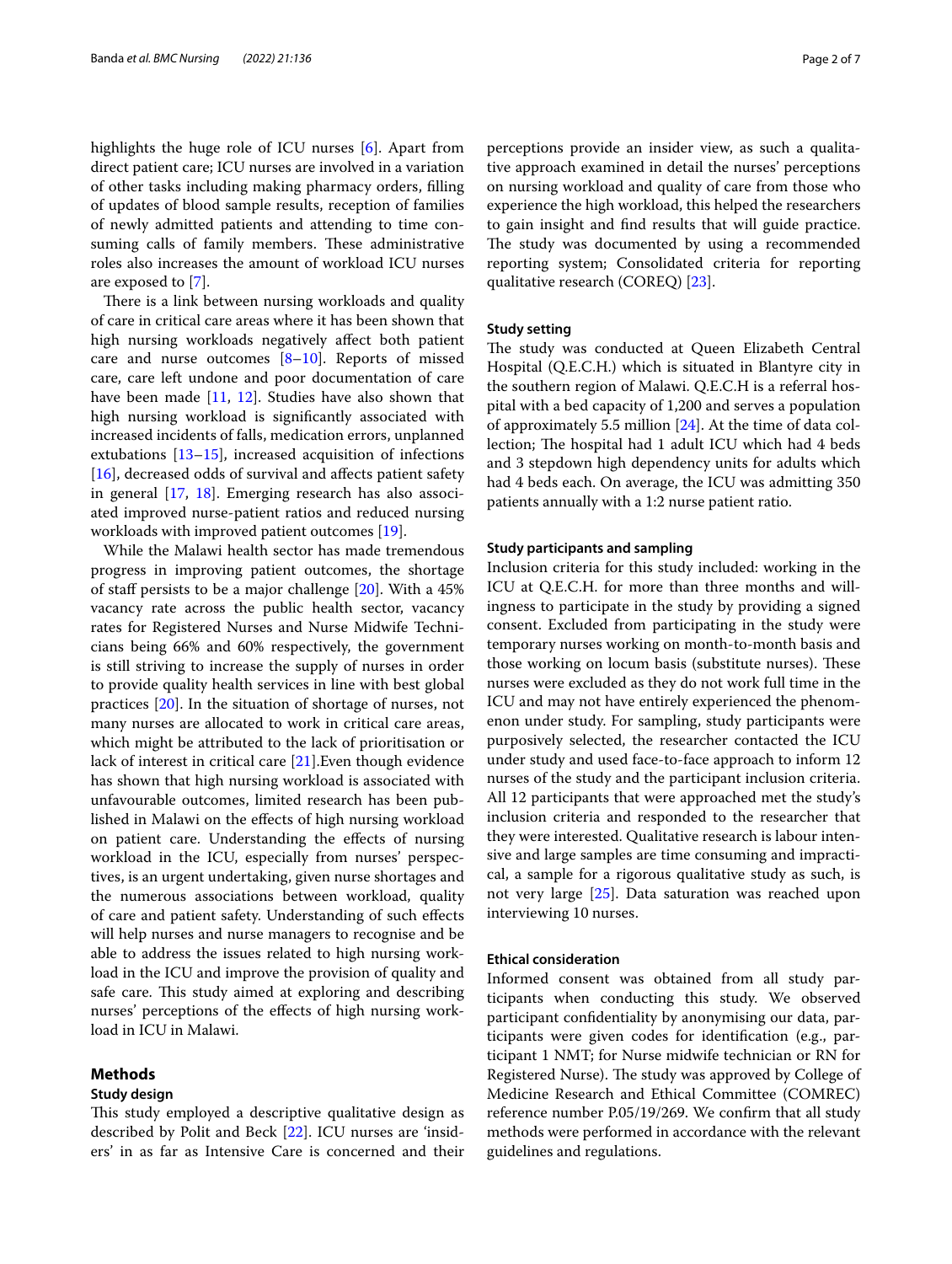highlights the huge role of ICU nurses [[6\]](#page-5-4). Apart from direct patient care; ICU nurses are involved in a variation of other tasks including making pharmacy orders, flling of updates of blood sample results, reception of families of newly admitted patients and attending to time consuming calls of family members. These administrative roles also increases the amount of workload ICU nurses are exposed to [\[7](#page-5-5)].

There is a link between nursing workloads and quality of care in critical care areas where it has been shown that high nursing workloads negatively afect both patient care and nurse outcomes  $[8-10]$  $[8-10]$  $[8-10]$ . Reports of missed care, care left undone and poor documentation of care have been made  $[11, 12]$  $[11, 12]$  $[11, 12]$  $[11, 12]$ . Studies have also shown that high nursing workload is signifcantly associated with increased incidents of falls, medication errors, unplanned extubations [\[13](#page-6-3)[–15\]](#page-6-4), increased acquisition of infections [[16\]](#page-6-5), decreased odds of survival and affects patient safety in general [\[17,](#page-6-6) [18](#page-6-7)]. Emerging research has also associated improved nurse-patient ratios and reduced nursing workloads with improved patient outcomes [\[19](#page-6-8)].

While the Malawi health sector has made tremendous progress in improving patient outcomes, the shortage of staff persists to be a major challenge  $[20]$  $[20]$  $[20]$ . With a 45% vacancy rate across the public health sector, vacancy rates for Registered Nurses and Nurse Midwife Technicians being 66% and 60% respectively, the government is still striving to increase the supply of nurses in order to provide quality health services in line with best global practices [\[20](#page-6-9)]. In the situation of shortage of nurses, not many nurses are allocated to work in critical care areas, which might be attributed to the lack of prioritisation or lack of interest in critical care [[21\]](#page-6-10).Even though evidence has shown that high nursing workload is associated with unfavourable outcomes, limited research has been published in Malawi on the efects of high nursing workload on patient care. Understanding the efects of nursing workload in the ICU, especially from nurses' perspectives, is an urgent undertaking, given nurse shortages and the numerous associations between workload, quality of care and patient safety. Understanding of such efects will help nurses and nurse managers to recognise and be able to address the issues related to high nursing workload in the ICU and improve the provision of quality and safe care. This study aimed at exploring and describing nurses' perceptions of the efects of high nursing workload in ICU in Malawi.

# **Methods**

## **Study design**

This study employed a descriptive qualitative design as described by Polit and Beck [[22\]](#page-6-11). ICU nurses are 'insiders' in as far as Intensive Care is concerned and their perceptions provide an insider view, as such a qualitative approach examined in detail the nurses' perceptions on nursing workload and quality of care from those who experience the high workload, this helped the researchers to gain insight and fnd results that will guide practice. The study was documented by using a recommended reporting system; Consolidated criteria for reporting qualitative research (COREQ) [[23](#page-6-12)].

# **Study setting**

The study was conducted at Queen Elizabeth Central Hospital (Q.E.C.H.) which is situated in Blantyre city in the southern region of Malawi. Q.E.C.H is a referral hospital with a bed capacity of 1,200 and serves a population of approximately 5.5 million [[24](#page-6-13)]. At the time of data collection; The hospital had 1 adult ICU which had 4 beds and 3 stepdown high dependency units for adults which had 4 beds each. On average, the ICU was admitting 350 patients annually with a 1:2 nurse patient ratio.

# **Study participants and sampling**

Inclusion criteria for this study included: working in the ICU at Q.E.C.H. for more than three months and willingness to participate in the study by providing a signed consent. Excluded from participating in the study were temporary nurses working on month-to-month basis and those working on locum basis (substitute nurses). These nurses were excluded as they do not work full time in the ICU and may not have entirely experienced the phenomenon under study. For sampling, study participants were purposively selected, the researcher contacted the ICU under study and used face-to-face approach to inform 12 nurses of the study and the participant inclusion criteria. All 12 participants that were approached met the study's inclusion criteria and responded to the researcher that they were interested. Qualitative research is labour intensive and large samples are time consuming and impractical, a sample for a rigorous qualitative study as such, is not very large [\[25\]](#page-6-14). Data saturation was reached upon interviewing 10 nurses.

#### **Ethical consideration**

Informed consent was obtained from all study participants when conducting this study. We observed participant confdentiality by anonymising our data, participants were given codes for identifcation (e.g., participant 1 NMT; for Nurse midwife technician or RN for Registered Nurse). The study was approved by College of Medicine Research and Ethical Committee (COMREC) reference number P.05/19/269. We confrm that all study methods were performed in accordance with the relevant guidelines and regulations.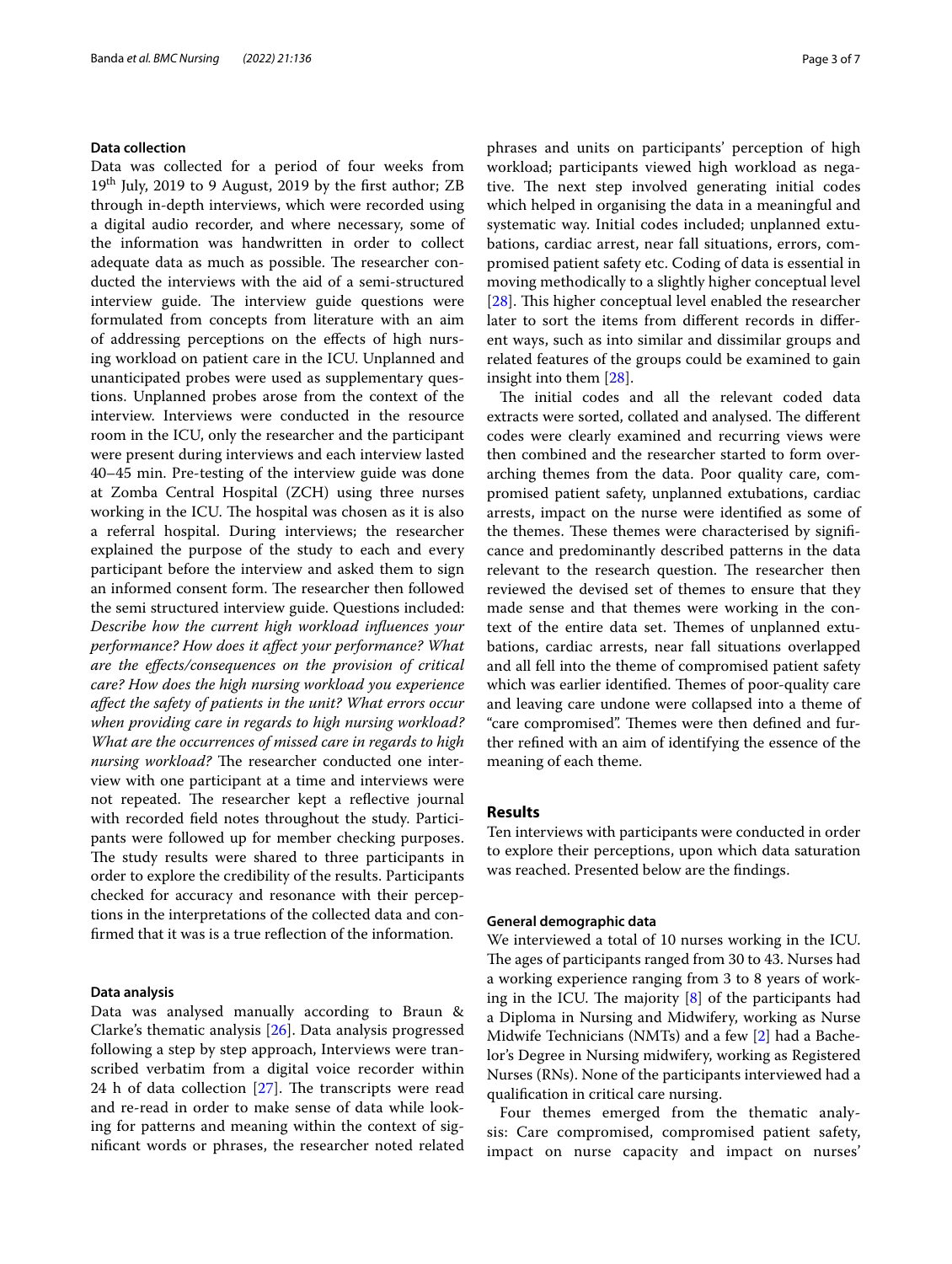# **Data collection**

Data was collected for a period of four weeks from  $19<sup>th</sup>$  July, 2019 to 9 August, 2019 by the first author; ZB through in-depth interviews, which were recorded using a digital audio recorder, and where necessary, some of the information was handwritten in order to collect adequate data as much as possible. The researcher conducted the interviews with the aid of a semi-structured interview guide. The interview guide questions were formulated from concepts from literature with an aim of addressing perceptions on the efects of high nursing workload on patient care in the ICU. Unplanned and unanticipated probes were used as supplementary questions. Unplanned probes arose from the context of the interview. Interviews were conducted in the resource room in the ICU, only the researcher and the participant were present during interviews and each interview lasted 40–45 min. Pre-testing of the interview guide was done at Zomba Central Hospital (ZCH) using three nurses working in the ICU. The hospital was chosen as it is also a referral hospital. During interviews; the researcher explained the purpose of the study to each and every participant before the interview and asked them to sign an informed consent form. The researcher then followed the semi structured interview guide. Questions included: *Describe how the current high workload infuences your performance? How does it afect your performance? What are the efects/consequences on the provision of critical care? How does the high nursing workload you experience afect the safety of patients in the unit? What errors occur when providing care in regards to high nursing workload? What are the occurrences of missed care in regards to high nursing workload?* The researcher conducted one interview with one participant at a time and interviews were not repeated. The researcher kept a reflective journal with recorded feld notes throughout the study. Participants were followed up for member checking purposes. The study results were shared to three participants in order to explore the credibility of the results. Participants checked for accuracy and resonance with their perceptions in the interpretations of the collected data and confrmed that it was is a true refection of the information.

# **Data analysis**

Data was analysed manually according to Braun & Clarke's thematic analysis [[26](#page-6-15)]. Data analysis progressed following a step by step approach, Interviews were transcribed verbatim from a digital voice recorder within 24  $h$  of data collection [\[27](#page-6-16)]. The transcripts were read and re-read in order to make sense of data while looking for patterns and meaning within the context of signifcant words or phrases, the researcher noted related phrases and units on participants' perception of high workload; participants viewed high workload as negative. The next step involved generating initial codes which helped in organising the data in a meaningful and systematic way. Initial codes included; unplanned extubations, cardiac arrest, near fall situations, errors, compromised patient safety etc. Coding of data is essential in moving methodically to a slightly higher conceptual level [[28\]](#page-6-17). This higher conceptual level enabled the researcher later to sort the items from diferent records in diferent ways, such as into similar and dissimilar groups and related features of the groups could be examined to gain insight into them [\[28](#page-6-17)].

The initial codes and all the relevant coded data extracts were sorted, collated and analysed. The different codes were clearly examined and recurring views were then combined and the researcher started to form overarching themes from the data. Poor quality care, compromised patient safety, unplanned extubations, cardiac arrests, impact on the nurse were identifed as some of the themes. These themes were characterised by significance and predominantly described patterns in the data relevant to the research question. The researcher then reviewed the devised set of themes to ensure that they made sense and that themes were working in the context of the entire data set. Themes of unplanned extubations, cardiac arrests, near fall situations overlapped and all fell into the theme of compromised patient safety which was earlier identified. Themes of poor-quality care and leaving care undone were collapsed into a theme of "care compromised". Themes were then defined and further refned with an aim of identifying the essence of the meaning of each theme.

# **Results**

Ten interviews with participants were conducted in order to explore their perceptions, upon which data saturation was reached. Presented below are the fndings.

#### **General demographic data**

We interviewed a total of 10 nurses working in the ICU. The ages of participants ranged from 30 to 43. Nurses had a working experience ranging from 3 to 8 years of working in the ICU. The majority  $[8]$  $[8]$  $[8]$  of the participants had a Diploma in Nursing and Midwifery, working as Nurse Midwife Technicians (NMTs) and a few [\[2](#page-5-1)] had a Bachelor's Degree in Nursing midwifery, working as Registered Nurses (RNs). None of the participants interviewed had a qualifcation in critical care nursing.

Four themes emerged from the thematic analysis: Care compromised, compromised patient safety, impact on nurse capacity and impact on nurses'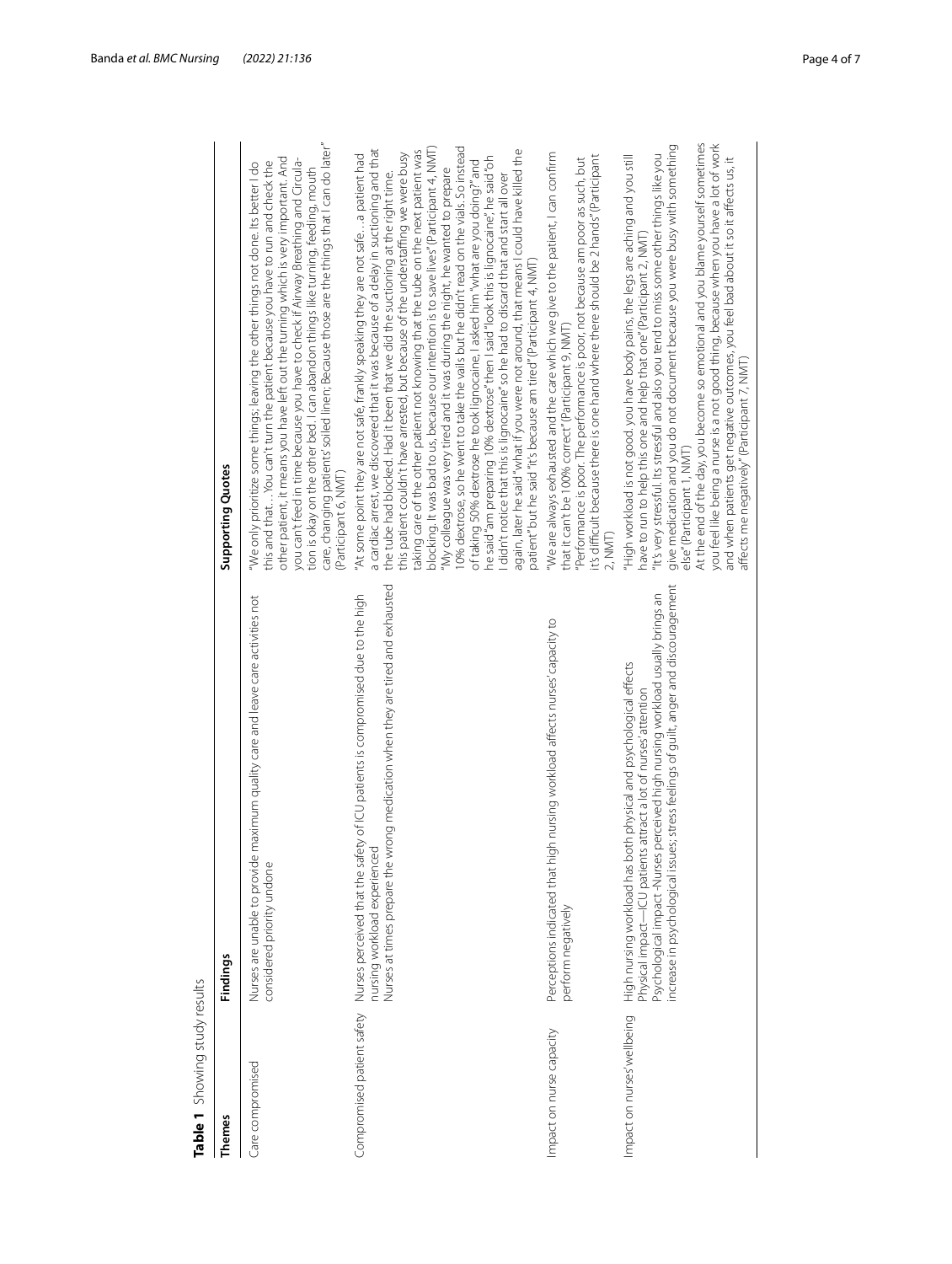<span id="page-3-0"></span>

|                             | Findings                                                                                                                                                                                                                                                                                                       | Supporting Quotes                                                                                                                                                                                                                                                                                                                                                                                                                                                                                                                                                                                                                                                                                                                                                                                                                                                                                                                                                                                                                                                                                                                                    |
|-----------------------------|----------------------------------------------------------------------------------------------------------------------------------------------------------------------------------------------------------------------------------------------------------------------------------------------------------------|------------------------------------------------------------------------------------------------------------------------------------------------------------------------------------------------------------------------------------------------------------------------------------------------------------------------------------------------------------------------------------------------------------------------------------------------------------------------------------------------------------------------------------------------------------------------------------------------------------------------------------------------------------------------------------------------------------------------------------------------------------------------------------------------------------------------------------------------------------------------------------------------------------------------------------------------------------------------------------------------------------------------------------------------------------------------------------------------------------------------------------------------------|
| Care compromised            | Nurses are unable to provide maximum quality care and leave care activities not<br>considered priority undone                                                                                                                                                                                                  | care, changing patients' soiled linen; Because those are the things that I can do later"<br>other patient, it means you have left out the turning which is very important. And<br>you can't feed in time because you have to check if Airway Breathing and Circula-<br>this and thatYou can't turn the patient because you have to run and check the<br>"We only prioritize some things; leaving the other things not done. Its better I do<br>tion is okay on the other bed. I can abandon things like turning, feeding, mouth<br>Participant 6, NMT)                                                                                                                                                                                                                                                                                                                                                                                                                                                                                                                                                                                               |
| Compromised patient safety  | Nurses at times prepare the wrong medication when they are tired and exhausted<br>Nurses perceived that the safety of ICU patients is compromised due to the high<br>nursing workload experienced                                                                                                              | 0% dextrose, so he went to take the vails but he didn't read on the vials. So instead<br>olocking. It was bad to us, because our intention is to save lives" (Participant 4, NMT)<br>a cardiac arrest, we discovered that it was because of a delay in suctioning and that<br>again, later he said "what if you were not around, that means I could have killed the<br>taking care of the other patient not knowing that the tube on the next patient was<br>"At some point they are not safe, frankly speaking they are not safe a patient had<br>this patient couldn't have arrested, but because of the understaffing we were busy.<br>he said "am preparing 10% dextrose" then I said "look this is lignocaine", he said "oh<br>of taking 50% dextrose he took lignocaine, lasked him "what are you doing?" and<br>"My colleague was very tired and it was during the night, he wanted to prepare<br>the tube had blocked. Had it been that we did the suctioning at the right time.<br>didn't notice that this is lignocaine" so he had to discard that and start all over<br>patient" but he said "it's because am tired" (Participant 4, NMT) |
| Impact on nurse capacity    | Perceptions indicated that high nursing workload affects nurses' capacity to<br>perform negatively                                                                                                                                                                                                             | "We are always exhausted and the care which we give to the patient, I can confirm<br>it's difficult because there is one hand where there should be 2 hands" (Participant<br>"Performance is poor. The performance is poor, not because am poor as such, but<br>that it can't be 100% correct" (Participant 9, NMT)<br>2, NMT)                                                                                                                                                                                                                                                                                                                                                                                                                                                                                                                                                                                                                                                                                                                                                                                                                       |
| Impact on nurses' wellbeing | increase in psychological issues; stress feelings of guilt, anger and discouragement<br>Psychological impact -Nurses perceived high nursing workload usually brings an<br>High nursing workload has both physical and psychological effects<br>Physical impact—ICU patients attract a lot of nurses' attention | At the end of the day, you become so emotional and you blame yourself sometimes<br>you feel like being a nurse is a not good thing, because when you have a lot of work<br>give medication and you do not document because you were busy with something<br>"It's very stressful. Its stressful and also you tend to miss some other things like you<br>"High workload is not good. you have body pains, the legs are aching and you still<br>and when patients get negative outcomes, you feel bad about it so it affects us, it<br>have to run to help this one and help that one" (Participant 2, NMT)<br>affects me negatively" (Participant 7, NMT)<br>else" (Participant 1, NMT)                                                                                                                                                                                                                                                                                                                                                                                                                                                                |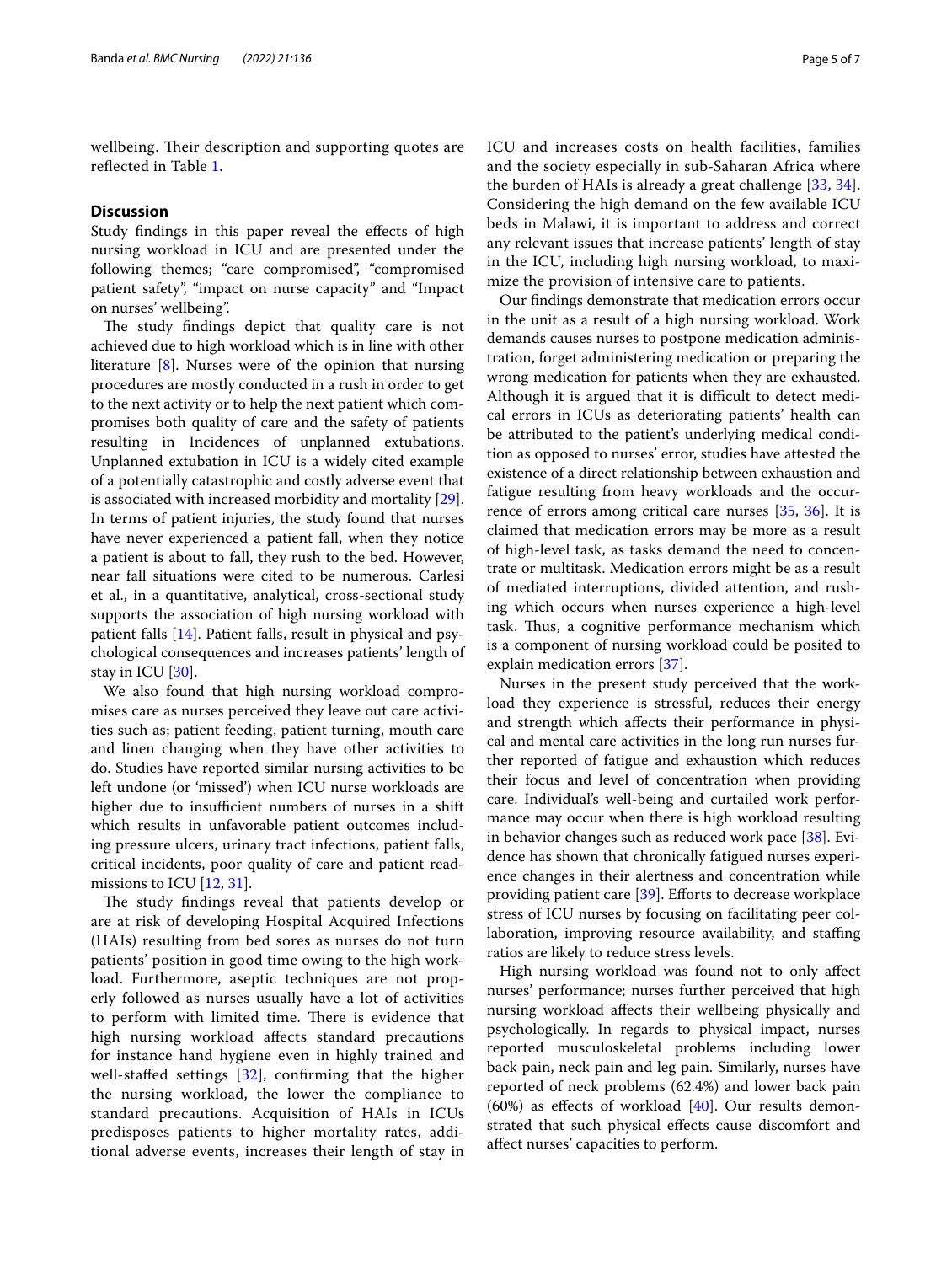wellbeing. Their description and supporting quotes are refected in Table [1](#page-3-0).

# **Discussion**

Study findings in this paper reveal the effects of high nursing workload in ICU and are presented under the following themes; "care compromised", "compromised patient safety", "impact on nurse capacity" and "Impact on nurses' wellbeing".

The study findings depict that quality care is not achieved due to high workload which is in line with other literature [[8\]](#page-5-6). Nurses were of the opinion that nursing procedures are mostly conducted in a rush in order to get to the next activity or to help the next patient which compromises both quality of care and the safety of patients resulting in Incidences of unplanned extubations. Unplanned extubation in ICU is a widely cited example of a potentially catastrophic and costly adverse event that is associated with increased morbidity and mortality [\[29](#page-6-18)]. In terms of patient injuries, the study found that nurses have never experienced a patient fall, when they notice a patient is about to fall, they rush to the bed. However, near fall situations were cited to be numerous. Carlesi et al., in a quantitative, analytical, cross-sectional study supports the association of high nursing workload with patient falls [[14\]](#page-6-19). Patient falls, result in physical and psychological consequences and increases patients' length of stay in ICU [\[30](#page-6-20)].

We also found that high nursing workload compromises care as nurses perceived they leave out care activities such as; patient feeding, patient turning, mouth care and linen changing when they have other activities to do. Studies have reported similar nursing activities to be left undone (or 'missed') when ICU nurse workloads are higher due to insufficient numbers of nurses in a shift which results in unfavorable patient outcomes including pressure ulcers, urinary tract infections, patient falls, critical incidents, poor quality of care and patient read-missions to ICU [\[12](#page-6-2), [31](#page-6-21)].

The study findings reveal that patients develop or are at risk of developing Hospital Acquired Infections (HAIs) resulting from bed sores as nurses do not turn patients' position in good time owing to the high workload. Furthermore, aseptic techniques are not properly followed as nurses usually have a lot of activities to perform with limited time. There is evidence that high nursing workload afects standard precautions for instance hand hygiene even in highly trained and well-stafed settings [\[32](#page-6-22)], confrming that the higher the nursing workload, the lower the compliance to standard precautions. Acquisition of HAIs in ICUs predisposes patients to higher mortality rates, additional adverse events, increases their length of stay in ICU and increases costs on health facilities, families and the society especially in sub-Saharan Africa where the burden of HAIs is already a great challenge [[33](#page-6-23), [34](#page-6-24)]. Considering the high demand on the few available ICU beds in Malawi, it is important to address and correct any relevant issues that increase patients' length of stay in the ICU, including high nursing workload, to maximize the provision of intensive care to patients.

Our fndings demonstrate that medication errors occur in the unit as a result of a high nursing workload. Work demands causes nurses to postpone medication administration, forget administering medication or preparing the wrong medication for patients when they are exhausted. Although it is argued that it is difficult to detect medical errors in ICUs as deteriorating patients' health can be attributed to the patient's underlying medical condition as opposed to nurses' error, studies have attested the existence of a direct relationship between exhaustion and fatigue resulting from heavy workloads and the occurrence of errors among critical care nurses [[35,](#page-6-25) [36](#page-6-26)]. It is claimed that medication errors may be more as a result of high-level task, as tasks demand the need to concentrate or multitask. Medication errors might be as a result of mediated interruptions, divided attention, and rushing which occurs when nurses experience a high-level task. Thus, a cognitive performance mechanism which is a component of nursing workload could be posited to explain medication errors [\[37\]](#page-6-27).

Nurses in the present study perceived that the workload they experience is stressful, reduces their energy and strength which afects their performance in physical and mental care activities in the long run nurses further reported of fatigue and exhaustion which reduces their focus and level of concentration when providing care. Individual's well-being and curtailed work performance may occur when there is high workload resulting in behavior changes such as reduced work pace [[38](#page-6-28)]. Evidence has shown that chronically fatigued nurses experience changes in their alertness and concentration while providing patient care [[39](#page-6-29)]. Efforts to decrease workplace stress of ICU nurses by focusing on facilitating peer collaboration, improving resource availability, and staffing ratios are likely to reduce stress levels.

High nursing workload was found not to only afect nurses' performance; nurses further perceived that high nursing workload afects their wellbeing physically and psychologically. In regards to physical impact, nurses reported musculoskeletal problems including lower back pain, neck pain and leg pain. Similarly, nurses have reported of neck problems (62.4%) and lower back pain  $(60%)$  as effects of workload  $[40]$  $[40]$ . Our results demonstrated that such physical efects cause discomfort and afect nurses' capacities to perform.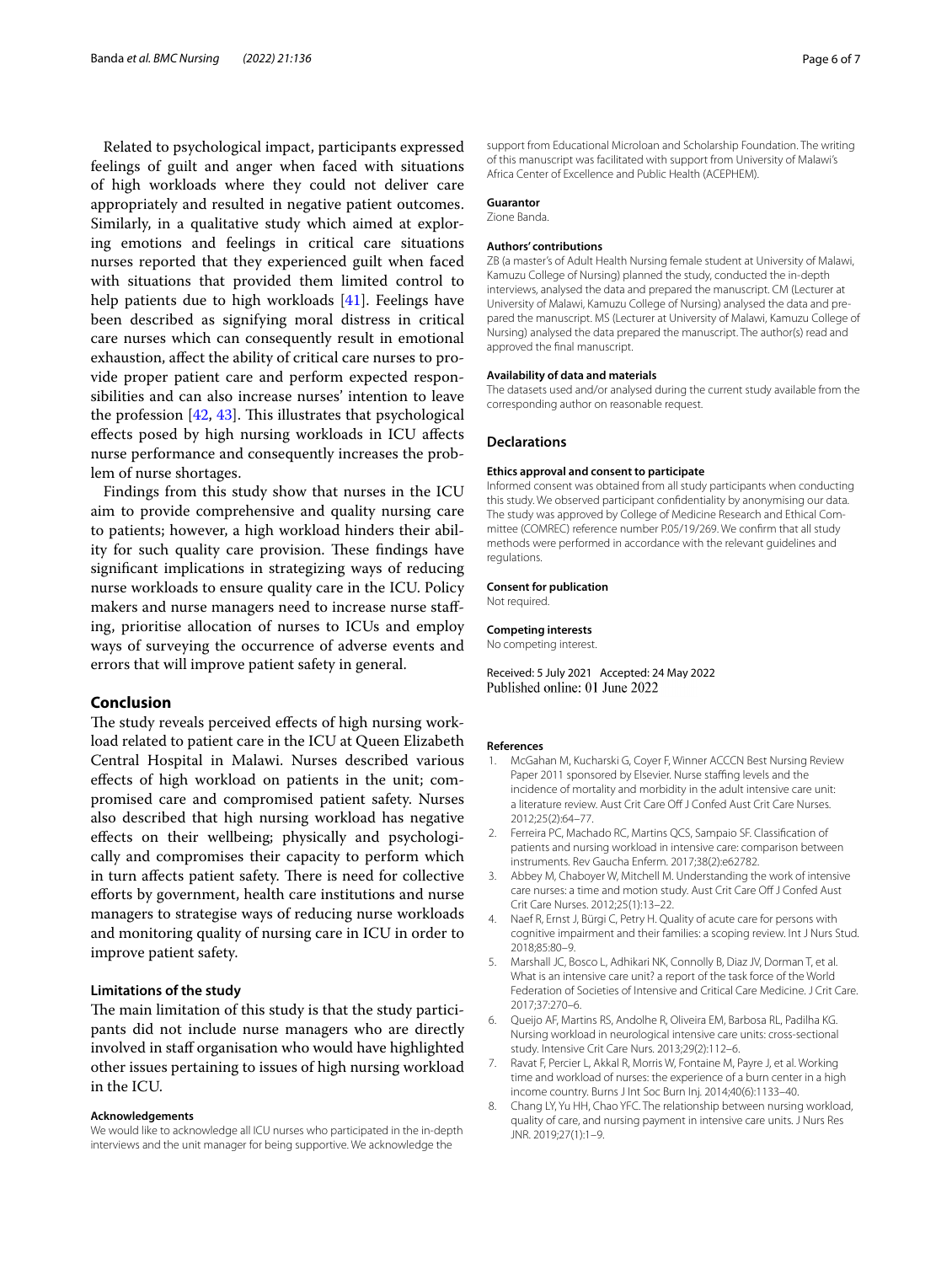Related to psychological impact, participants expressed feelings of guilt and anger when faced with situations of high workloads where they could not deliver care appropriately and resulted in negative patient outcomes. Similarly, in a qualitative study which aimed at exploring emotions and feelings in critical care situations nurses reported that they experienced guilt when faced with situations that provided them limited control to help patients due to high workloads [\[41\]](#page-6-31). Feelings have been described as signifying moral distress in critical care nurses which can consequently result in emotional exhaustion, afect the ability of critical care nurses to provide proper patient care and perform expected responsibilities and can also increase nurses' intention to leave the profession  $[42, 43]$  $[42, 43]$  $[42, 43]$  $[42, 43]$  $[42, 43]$ . This illustrates that psychological efects posed by high nursing workloads in ICU afects nurse performance and consequently increases the problem of nurse shortages.

Findings from this study show that nurses in the ICU aim to provide comprehensive and quality nursing care to patients; however, a high workload hinders their ability for such quality care provision. These findings have signifcant implications in strategizing ways of reducing nurse workloads to ensure quality care in the ICU. Policy makers and nurse managers need to increase nurse stafing, prioritise allocation of nurses to ICUs and employ ways of surveying the occurrence of adverse events and errors that will improve patient safety in general.

#### **Conclusion**

The study reveals perceived effects of high nursing workload related to patient care in the ICU at Queen Elizabeth Central Hospital in Malawi. Nurses described various efects of high workload on patients in the unit; compromised care and compromised patient safety. Nurses also described that high nursing workload has negative efects on their wellbeing; physically and psychologically and compromises their capacity to perform which in turn affects patient safety. There is need for collective eforts by government, health care institutions and nurse managers to strategise ways of reducing nurse workloads and monitoring quality of nursing care in ICU in order to improve patient safety.

## **Limitations of the study**

The main limitation of this study is that the study participants did not include nurse managers who are directly involved in staff organisation who would have highlighted other issues pertaining to issues of high nursing workload in the ICU.

#### **Acknowledgements**

We would like to acknowledge all ICU nurses who participated in the in-depth interviews and the unit manager for being supportive. We acknowledge the

support from Educational Microloan and Scholarship Foundation. The writing of this manuscript was facilitated with support from University of Malawi's Africa Center of Excellence and Public Health (ACEPHEM).

#### **Guarantor**

Zione Banda.

#### **Authors' contributions**

ZB (a master's of Adult Health Nursing female student at University of Malawi, Kamuzu College of Nursing) planned the study, conducted the in-depth interviews, analysed the data and prepared the manuscript. CM (Lecturer at University of Malawi, Kamuzu College of Nursing) analysed the data and prepared the manuscript. MS (Lecturer at University of Malawi, Kamuzu College of Nursing) analysed the data prepared the manuscript. The author(s) read and approved the fnal manuscript.

#### **Availability of data and materials**

The datasets used and/or analysed during the current study available from the corresponding author on reasonable request.

#### **Declarations**

#### **Ethics approval and consent to participate**

Informed consent was obtained from all study participants when conducting this study. We observed participant confdentiality by anonymising our data. The study was approved by College of Medicine Research and Ethical Committee (COMREC) reference number P.05/19/269. We confrm that all study methods were performed in accordance with the relevant guidelines and regulations.

## **Consent for publication**

Not required.

# **Competing interests**

No competing interest.

Received: 5 July 2021 Accepted: 24 May 2022<br>Published online: 01 June 2022

#### **References**

- <span id="page-5-0"></span>1. McGahan M, Kucharski G, Coyer F, Winner ACCCN Best Nursing Review Paper 2011 sponsored by Elsevier. Nurse staffing levels and the incidence of mortality and morbidity in the adult intensive care unit: a literature review. Aust Crit Care Off J Confed Aust Crit Care Nurses. 2012;25(2):64–77.
- <span id="page-5-1"></span>2. Ferreira PC, Machado RC, Martins QCS, Sampaio SF. Classifcation of patients and nursing workload in intensive care: comparison between instruments. Rev Gaucha Enferm. 2017;38(2):e62782.
- <span id="page-5-2"></span>3. Abbey M, Chaboyer W, Mitchell M. Understanding the work of intensive care nurses: a time and motion study. Aust Crit Care Of J Confed Aust Crit Care Nurses. 2012;25(1):13–22.
- 4. Naef R, Ernst J, Bürgi C, Petry H. Quality of acute care for persons with cognitive impairment and their families: a scoping review. Int J Nurs Stud. 2018;85:80–9.
- <span id="page-5-3"></span>5. Marshall JC, Bosco L, Adhikari NK, Connolly B, Diaz JV, Dorman T, et al. What is an intensive care unit? a report of the task force of the World Federation of Societies of Intensive and Critical Care Medicine. J Crit Care. 2017;37:270–6.
- <span id="page-5-4"></span>6. Queijo AF, Martins RS, Andolhe R, Oliveira EM, Barbosa RL, Padilha KG. Nursing workload in neurological intensive care units: cross-sectional study. Intensive Crit Care Nurs. 2013;29(2):112–6.
- <span id="page-5-5"></span>7. Ravat F, Percier L, Akkal R, Morris W, Fontaine M, Payre J, et al. Working time and workload of nurses: the experience of a burn center in a high income country. Burns J Int Soc Burn Inj. 2014;40(6):1133–40.
- <span id="page-5-6"></span>8. Chang LY, Yu HH, Chao YFC. The relationship between nursing workload, quality of care, and nursing payment in intensive care units. J Nurs Res JNR. 2019;27(1):1–9.